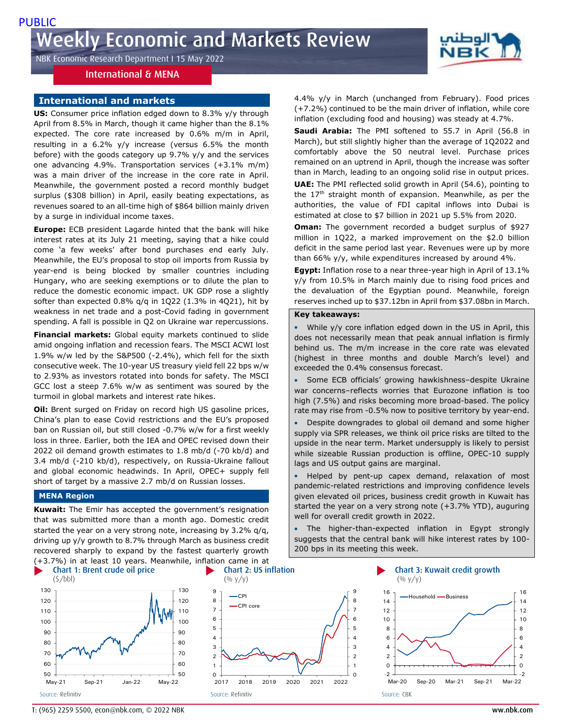NBK Economic Research Department I 15 May 2022

# International & MENA

# **International and markets**

**US:** Consumer price inflation edged down to 8.3% y/y through April from 8.5% in March, though it came higher than the 8.1% expected. The core rate increased by 0.6% m/m in April, resulting in a 6.2% y/y increase (versus 6.5% the month before) with the goods category up 9.7% y/y and the services one advancing 4.9%. Transportation services (+3.1% m/m) was a main driver of the increase in the core rate in April. Meanwhile, the government posted a record monthly budget surplus (\$308 billion) in April, easily beating expectations, as revenues soared to an all-time high of \$864 billion mainly driven by a surge in individual income taxes.

**Europe:** ECB president Lagarde hinted that the bank will hike interest rates at its July 21 meeting, saying that a hike could come 'a few weeks' after bond purchases end early July. Meanwhile, the EU's proposal to stop oil imports from Russia by year-end is being blocked by smaller countries including Hungary, who are seeking exemptions or to dilute the plan to reduce the domestic economic impact. UK GDP rose a slightly softer than expected 0.8% q/q in 1Q22 (1.3% in 4Q21), hit by weakness in net trade and a post-Covid fading in government spending. A fall is possible in Q2 on Ukraine war repercussions.

**Financial markets:** Global equity markets continued to slide amid ongoing inflation and recession fears. The MSCI ACWI lost 1.9% w/w led by the S&P500 (-2.4%), which fell for the sixth consecutive week. The 10-year US treasury yield fell 22 bps w/w to 2.93% as investors rotated into bonds for safety. The MSCI GCC lost a steep 7.6% w/w as sentiment was soured by the turmoil in global markets and interest rate hikes.

**Oil:** Brent surged on Friday on record high US gasoline prices, China's plan to ease Covid restrictions and the EU's proposed ban on Russian oil, but still closed -0.7% w/w for a first weekly loss in three. Earlier, both the IEA and OPEC revised down their 2022 oil demand growth estimates to 1.8 mb/d (-70 kb/d) and 3.4 mb/d (-210 kb/d), respectively, on Russia-Ukraine fallout and global economic headwinds. In April, OPEC+ supply fell short of target by a massive 2.7 mb/d on Russian losses.

### **MENA Region**

**Kuwait:** The Emir has accepted the government's resignation that was submitted more than a month ago. Domestic credit started the year on a very strong note, increasing by 3.2% q/q, driving up y/y growth to 8.7% through March as business credit recovered sharply to expand by the fastest quarterly growth (+3.7%) in at least 10 years. Meanwhile, inflation came in at





4.4% y/y in March (unchanged from February). Food prices (+7.2%) continued to be the main driver of inflation, while core inflation (excluding food and housing) was steady at 4.7%.

"الوطن

**Saudi Arabia:** The PMI softened to 55.7 in April (56.8 in March), but still slightly higher than the average of 1Q2022 and comfortably above the 50 neutral level. Purchase prices remained on an uptrend in April, though the increase was softer than in March, leading to an ongoing solid rise in output prices. **UAE:** The PMI reflected solid growth in April (54.6), pointing to the 17<sup>th</sup> straight month of expansion. Meanwhile, as per the authorities, the value of FDI capital inflows into Dubai is estimated at close to \$7 billion in 2021 up 5.5% from 2020.

**Oman:** The government recorded a budget surplus of \$927 million in 1Q22, a marked improvement on the \$2.0 billion deficit in the same period last year. Revenues were up by more than 66% y/y, while expenditures increased by around 4%.

**Egypt:** Inflation rose to a near three-year high in April of 13.1% y/y from 10.5% in March mainly due to rising food prices and the devaluation of the Egyptian pound. Meanwhile, foreign reserves inched up to \$37.12bn in April from \$37.08bn in March.

### **Key takeaways:**

While y/y core inflation edged down in the US in April, this does not necessarily mean that peak annual inflation is firmly behind us. The m/m increase in the core rate was elevated (highest in three months and double March's level) and exceeded the 0.4% consensus forecast.

 Some ECB officials' growing hawkishness–despite Ukraine war concerns–reflects worries that Eurozone inflation is too high (7.5%) and risks becoming more broad-based. The policy rate may rise from -0.5% now to positive territory by year-end.

 Despite downgrades to global oil demand and some higher supply via SPR releases, we think oil price risks are tilted to the upside in the near term. Market undersupply is likely to persist while sizeable Russian production is offline, OPEC-10 supply lags and US output gains are marginal.

 Helped by pent-up capex demand, relaxation of most pandemic-related restrictions and improving confidence levels given elevated oil prices, business credit growth in Kuwait has started the year on a very strong note (+3.7% YTD), auguring well for overall credit growth in 2022.

 The higher-than-expected inflation in Egypt strongly suggests that the central bank will hike interest rates by 100- 200 bps in its meeting this week.